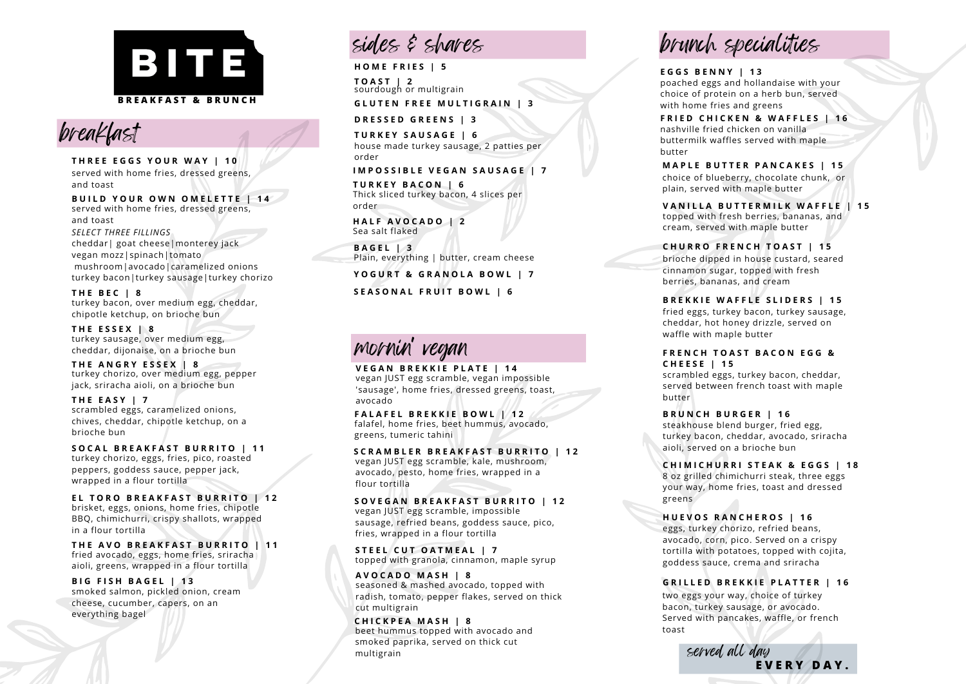



**T H E A N G R Y E S S E X | 8** turkey chorizo, over medium egg, pepper jack, sriracha aioli, on a brioche bun

**T H E E A S Y | 7** scrambled eggs, caramelized onions, chives, cheddar, chipotle ketchup, on a brioche bun

**S O C A L B R E A K F A S T B U R R I T O | 1 1** turkey chorizo, eggs, fries, pico, roasted peppers, goddess sauce, pepper jack, wrapped in a flour tortilla **EVERY CONSULTERE SECTS AND THE CASE OF SECTS (SEE THE AND BEAKFAST BURNITO | 11**<br>
THREE EGGS YOUR WAY | 10<br>
and toast<br>
and toast<br>
and toast<br>
and toast<br>
and toast<br>
and toast<br>
everyd with home fries, dressed greens,<br>
and to

**E L T O R O B R E A K F A S T B U R R I T O | 1 2** brisket, eggs, onions, home fries, chipotle BBQ, chimichurri, crispy shallots, wrapped in a flour tortilla

**T H E A V O B R E A K F A S T B U R R I T O | 1 1** fried avocado, eggs, home fries, sriracha aioli, greens, wrapped in a flour tortilla

**B I G F I S H B A G E L | 1 3** smoked salmon, pickled onion, cream cheese, cucumber, capers, on an

# sides & shares

**O M E F R I E S | 5 T O A S T | 2** sourdough or multigrain

**G L U T E N F R E E M U L T I G R A I N | 3**

**D R E S S E D G R E E N S | 3**

**T U R K E Y S A U S A G E | 6** house made turkey sausage, 2 patties per order

**I M P O S S I B L E V E G A N S A U S A G E | 7**

**T U R K E Y B A C O N | 6** Thick sliced turkey bacon, 4 slices per o r d e r

**H A L F A V O C A D O | 2** S e a s alt fla k e d

**B A G E L | 3** Plain, everything | butter, cream cheese

**Y O G U R T & G R A N O L A B O W L | 7**

**S E A S O N A L F R U I T B O W L | 6**

## m orn in 'vegan

**V E G A N B R E K K I E P L A T E | 1 4** v e g a n J U S T e g g s c r a m ble, v e g a n im p o s sible 'sausage', home fries, dressed greens, toast, avocado

**F A L A F E L B R E K K I E B O W L | 1 2** falafel, home fries, beet hummus, avocado, greens, tumeric tahini

SCRAMBLER BREAKFAST BURRITO | 12 vegan JUST egg scramble, kale, mushroom, avocado, pesto, home fries, wrapped in a flour tortilla

SOVEGAN BREAKFAST BURRITO | 12 vegan JUST egg scramble, impossible sausage, refried beans, goddess sauce, pico, fries, wrapped in a flour tortilla

**S T E E L C U T O A T M E A L | 7** topped with granola, cinnamon, maple syrup

**A V O C A D O M A S H | 8** seasoned & mashed avocado, topped with radish, tomato, pepper flakes, served on thic k cut multigrain

**C H I C K P E A M A S H | 8** beet hummus topped with avocado and smoked paprika, served on thick cut m ultig r ain

brunch sp ecialities

**E G G S B E N N Y | 1 3** poached eggs and hollandaise with your choice of protein on a herb bun, served i with home fries and greens

nashville fried chicken on vanilla buttermilk waffles served with maple butter

MAPLE BUTTER PANCAKES | 15 choice of blueberry, chocolate chunk, or plain, served with maple butter

VANILLA BUTTERMILK WAFFLE | 15 topped with fresh berries, bananas, and cream, served with maple butter

**C H U R R O F R E N C H T O A S T | 1 5**

brioche dipped in house custard, seared cinnamon sugar, topped with fresh berries, bananas, and cream

**B R E K K I E W A F F L E S L I D E R S | 1 5** fried eggs, turkey bacon, turkey sausage, cheddar, hot honey drizzle, served on waffle with maple butter

**F R E N C H T O A S T B A C O N E G G & C H E E S E | 1 5**

scrambled eggs, turkey bacon, cheddar, served between french toast with maple butter

**B R U N C H B U R G E R | 1 6** steakhouse blend burger, fried egg, turkey bacon, cheddar, avocado, sriracha aioli, served on a brioche bun

**C H I M I C H U R R I S T E A K & E G G S | 1 8** 8 oz grilled chimichurri steak, three eggs your way, home fries, toast and dressed greens

**H U E V O S R A N C H E R O S | 1 6** eggs, turkey chorizo, refried beans, avocado, corn, pico. Served on a crispy tortilla with potatoes, topped with cojita, goddess sauce, crema and sriracha **EXAMPLE AND A CONSULTANT SUBSIDE AND A CONSULTANT SUBSIDE AND A CONSULTANT SUBSIDE AND A CONSULTANT SUBSIDE AND A CONSULTANT SUBSIDE AND A CONSULTANT SUBSIDE AND A CONSULTANT SUBSIDE AND A CONSULTANT SUBSIDE AND A CONSUL** 

**G R I L L E D B R E K K I E P L A T T E R | 1 6**

two eggs your way, choice of turkey bacon, turkey sausage, or avocado. Served with pancakes, waffle, or french toast